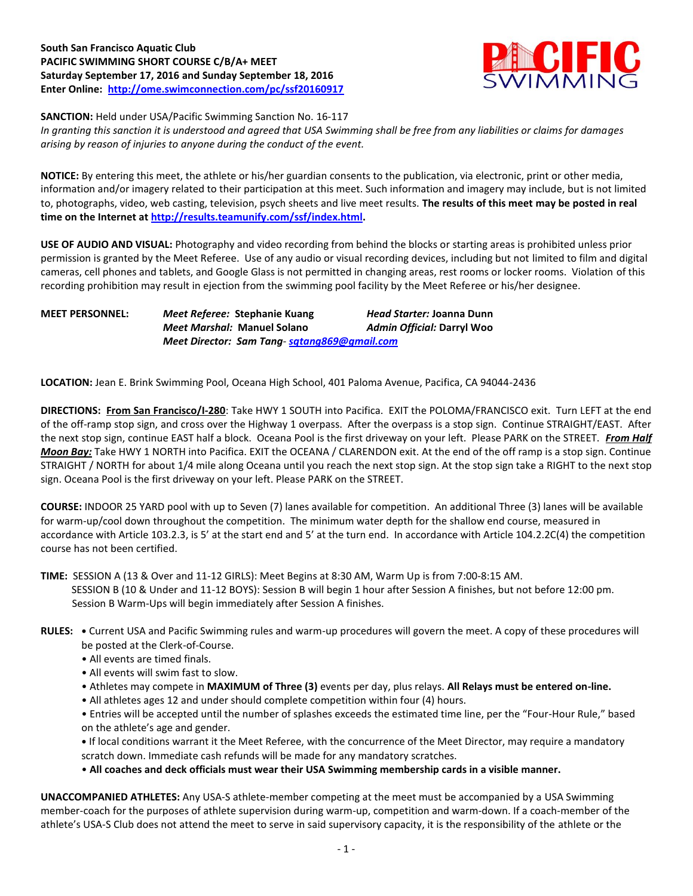## **South San Francisco Aquatic Club PACIFIC SWIMMING SHORT COURSE C/B/A+ MEET Saturday September 17, 2016 and Sunday September 18, 2016 Enter Online: <http://ome.swimconnection.com/pc/ssf20160917>**



**SANCTION:** Held under USA/Pacific Swimming Sanction No. 16-117

*In granting this sanction it is understood and agreed that USA Swimming shall be free from any liabilities or claims for damages arising by reason of injuries to anyone during the conduct of the event.*

**NOTICE:** By entering this meet, the athlete or his/her guardian consents to the publication, via electronic, print or other media, information and/or imagery related to their participation at this meet. Such information and imagery may include, but is not limited to, photographs, video, web casting, television, psych sheets and live meet results. **The results of this meet may be posted in real time on the Internet a[t http://results.teamunify.com/ssf/index.html.](http://results.teamunify.com/ssf/index.html)**

**USE OF AUDIO AND VISUAL:** Photography and video recording from behind the blocks or starting areas is prohibited unless prior permission is granted by the Meet Referee. Use of any audio or visual recording devices, including but not limited to film and digital cameras, cell phones and tablets, and Google Glass is not permitted in changing areas, rest rooms or locker rooms. Violation of this recording prohibition may result in ejection from the swimming pool facility by the Meet Referee or his/her designee.

**MEET PERSONNEL:** *Meet Referee:* **Stephanie Kuang** *Head Starter:* **Joanna Dunn** *Meet Marshal:* **Manuel Solano** *Admin Official:* **Darryl Woo** *Meet Director: Sam Tang- [sqtang869@gmail.com](mailto:sqtang869@gmail.com)*

**LOCATION:** Jean E. Brink Swimming Pool, Oceana High School, 401 Paloma Avenue, Pacifica, CA 94044-2436

**DIRECTIONS: From San Francisco/I-280**: Take HWY 1 SOUTH into Pacifica. EXIT the POLOMA/FRANCISCO exit. Turn LEFT at the end of the off-ramp stop sign, and cross over the Highway 1 overpass. After the overpass is a stop sign. Continue STRAIGHT/EAST. After the next stop sign, continue EAST half a block. Oceana Pool is the first driveway on your left. Please PARK on the STREET. *From Half Moon Bay:* Take HWY 1 NORTH into Pacifica. EXIT the OCEANA / CLARENDON exit. At the end of the off ramp is a stop sign. Continue STRAIGHT / NORTH for about 1/4 mile along Oceana until you reach the next stop sign. At the stop sign take a RIGHT to the next stop sign. Oceana Pool is the first driveway on your left. Please PARK on the STREET.

**COURSE:** INDOOR 25 YARD pool with up to Seven (7) lanes available for competition. An additional Three (3) lanes will be available for warm-up/cool down throughout the competition. The minimum water depth for the shallow end course, measured in accordance with Article 103.2.3, is 5' at the start end and 5' at the turn end. In accordance with Article 104.2.2C(4) the competition course has not been certified.

**TIME:** SESSION A (13 & Over and 11-12 GIRLS): Meet Begins at 8:30 AM, Warm Up is from 7:00-8:15 AM. SESSION B (10 & Under and 11-12 BOYS): Session B will begin 1 hour after Session A finishes, but not before 12:00 pm. Session B Warm-Ups will begin immediately after Session A finishes.

- **RULES: •** Current USA and Pacific Swimming rules and warm-up procedures will govern the meet. A copy of these procedures will be posted at the Clerk-of-Course.
	- All events are timed finals.
	- All events will swim fast to slow.
	- Athletes may compete in **MAXIMUM of Three (3)** events per day, plus relays. **All Relays must be entered on-line.**
	- All athletes ages 12 and under should complete competition within four (4) hours.

• Entries will be accepted until the number of splashes exceeds the estimated time line, per the "Four-Hour Rule," based on the athlete's age and gender.

**•** If local conditions warrant it the Meet Referee, with the concurrence of the Meet Director, may require a mandatory scratch down. Immediate cash refunds will be made for any mandatory scratches.

• **All coaches and deck officials must wear their USA Swimming membership cards in a visible manner.** 

**UNACCOMPANIED ATHLETES:** Any USA-S athlete-member competing at the meet must be accompanied by a USA Swimming member-coach for the purposes of athlete supervision during warm-up, competition and warm-down. If a coach-member of the athlete's USA-S Club does not attend the meet to serve in said supervisory capacity, it is the responsibility of the athlete or the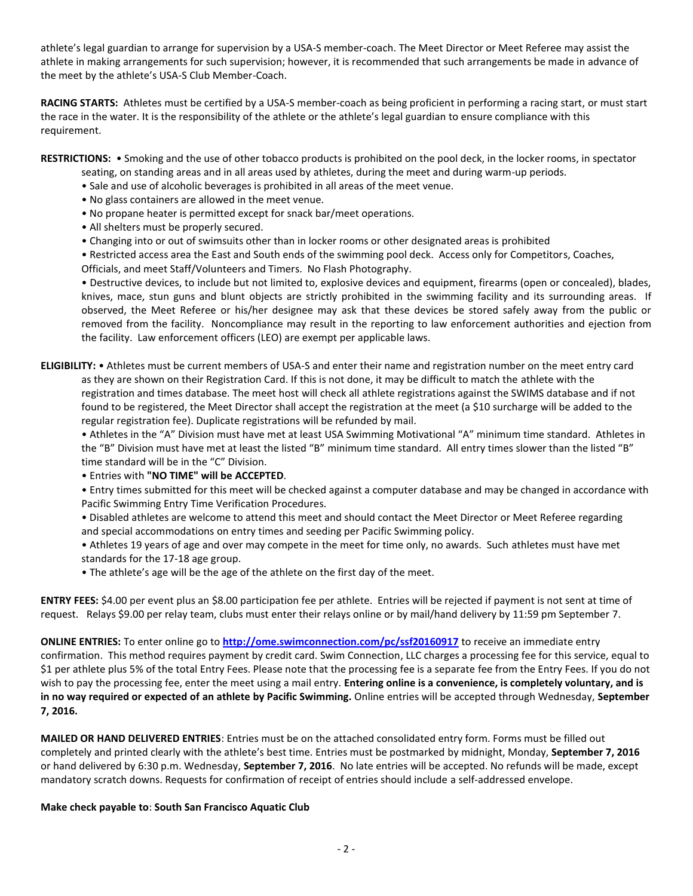athlete's legal guardian to arrange for supervision by a USA-S member-coach. The Meet Director or Meet Referee may assist the athlete in making arrangements for such supervision; however, it is recommended that such arrangements be made in advance of the meet by the athlete's USA-S Club Member-Coach.

**RACING STARTS:** Athletes must be certified by a USA-S member-coach as being proficient in performing a racing start, or must start the race in the water. It is the responsibility of the athlete or the athlete's legal guardian to ensure compliance with this requirement.

**RESTRICTIONS:** • Smoking and the use of other tobacco products is prohibited on the pool deck, in the locker rooms, in spectator

- seating, on standing areas and in all areas used by athletes, during the meet and during warm-up periods.
- Sale and use of alcoholic beverages is prohibited in all areas of the meet venue.
- No glass containers are allowed in the meet venue.
- No propane heater is permitted except for snack bar/meet operations.
- All shelters must be properly secured.
- Changing into or out of swimsuits other than in locker rooms or other designated areas is prohibited

• Restricted access area the East and South ends of the swimming pool deck. Access only for Competitors, Coaches, Officials, and meet Staff/Volunteers and Timers. No Flash Photography.

• Destructive devices, to include but not limited to, explosive devices and equipment, firearms (open or concealed), blades, knives, mace, stun guns and blunt objects are strictly prohibited in the swimming facility and its surrounding areas. If observed, the Meet Referee or his/her designee may ask that these devices be stored safely away from the public or removed from the facility. Noncompliance may result in the reporting to law enforcement authorities and ejection from the facility. Law enforcement officers (LEO) are exempt per applicable laws.

**ELIGIBILITY:** • Athletes must be current members of USA-S and enter their name and registration number on the meet entry card as they are shown on their Registration Card. If this is not done, it may be difficult to match the athlete with the registration and times database. The meet host will check all athlete registrations against the SWIMS database and if not found to be registered, the Meet Director shall accept the registration at the meet (a \$10 surcharge will be added to the regular registration fee). Duplicate registrations will be refunded by mail.

• Athletes in the "A" Division must have met at least USA Swimming Motivational "A" minimum time standard. Athletes in the "B" Division must have met at least the listed "B" minimum time standard. All entry times slower than the listed "B" time standard will be in the "C" Division.

• Entries with **"NO TIME" will be ACCEPTED**.

• Entry times submitted for this meet will be checked against a computer database and may be changed in accordance with Pacific Swimming Entry Time Verification Procedures.

• Disabled athletes are welcome to attend this meet and should contact the Meet Director or Meet Referee regarding and special accommodations on entry times and seeding per Pacific Swimming policy.

• Athletes 19 years of age and over may compete in the meet for time only, no awards. Such athletes must have met standards for the 17-18 age group.

• The athlete's age will be the age of the athlete on the first day of the meet.

**ENTRY FEES:** \$4.00 per event plus an \$8.00 participation fee per athlete. Entries will be rejected if payment is not sent at time of request. Relays \$9.00 per relay team, clubs must enter their relays online or by mail/hand delivery by 11:59 pm September 7.

**ONLINE ENTRIES:** To enter online go to **<http://ome.swimconnection.com/pc/ssf20160917>** to receive an immediate entry confirmation. This method requires payment by credit card. Swim Connection, LLC charges a processing fee for this service, equal to \$1 per athlete plus 5% of the total Entry Fees. Please note that the processing fee is a separate fee from the Entry Fees. If you do not wish to pay the processing fee, enter the meet using a mail entry. **Entering online is a convenience, is completely voluntary, and is in no way required or expected of an athlete by Pacific Swimming.** Online entries will be accepted through Wednesday, **September 7, 2016.**

**MAILED OR HAND DELIVERED ENTRIES**: Entries must be on the attached consolidated entry form. Forms must be filled out completely and printed clearly with the athlete's best time. Entries must be postmarked by midnight, Monday, **September 7, 2016** or hand delivered by 6:30 p.m. Wednesday, **September 7, 2016**. No late entries will be accepted. No refunds will be made, except mandatory scratch downs. Requests for confirmation of receipt of entries should include a self-addressed envelope.

#### **Make check payable to**: **South San Francisco Aquatic Club**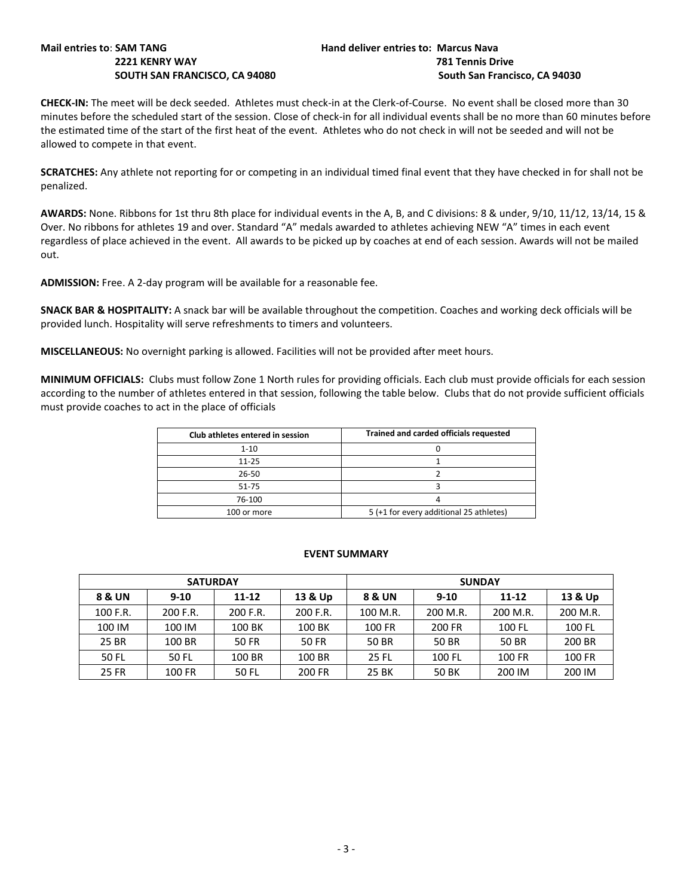# **Mail entries to**: **SAM TANG Hand deliver entries to: Marcus Nava**

# **2221 KENRY WAY 781 Tennis Drive SOUTH SAN FRANCISCO, CA 94080 South San Francisco, CA 94030**

**CHECK-IN:** The meet will be deck seeded. Athletes must check-in at the Clerk-of-Course. No event shall be closed more than 30 minutes before the scheduled start of the session. Close of check-in for all individual events shall be no more than 60 minutes before the estimated time of the start of the first heat of the event. Athletes who do not check in will not be seeded and will not be allowed to compete in that event.

**SCRATCHES:** Any athlete not reporting for or competing in an individual timed final event that they have checked in for shall not be penalized.

**AWARDS:** None. Ribbons for 1st thru 8th place for individual events in the A, B, and C divisions: 8 & under, 9/10, 11/12, 13/14, 15 & Over. No ribbons for athletes 19 and over. Standard "A" medals awarded to athletes achieving NEW "A" times in each event regardless of place achieved in the event. All awards to be picked up by coaches at end of each session. Awards will not be mailed out.

**ADMISSION:** Free. A 2-day program will be available for a reasonable fee.

**SNACK BAR & HOSPITALITY:** A snack bar will be available throughout the competition. Coaches and working deck officials will be provided lunch. Hospitality will serve refreshments to timers and volunteers.

**MISCELLANEOUS:** No overnight parking is allowed. Facilities will not be provided after meet hours.

**MINIMUM OFFICIALS:** Clubs must follow Zone 1 North rules for providing officials. Each club must provide officials for each session according to the number of athletes entered in that session, following the table below. Clubs that do not provide sufficient officials must provide coaches to act in the place of officials

| Club athletes entered in session | Trained and carded officials requested  |  |  |  |  |  |
|----------------------------------|-----------------------------------------|--|--|--|--|--|
| $1 - 10$                         |                                         |  |  |  |  |  |
| $11 - 25$                        |                                         |  |  |  |  |  |
| $26 - 50$                        |                                         |  |  |  |  |  |
| 51-75                            |                                         |  |  |  |  |  |
| 76-100                           |                                         |  |  |  |  |  |
| 100 or more                      | 5 (+1 for every additional 25 athletes) |  |  |  |  |  |

### **EVENT SUMMARY**

| <b>SATURDAY</b> |          |          |          | <b>SUNDAY</b> |          |           |          |  |  |
|-----------------|----------|----------|----------|---------------|----------|-----------|----------|--|--|
| 8 & UN          | $9 - 10$ | 11-12    | 13 & Up  | 8 & UN        | $9 - 10$ | $11 - 12$ | 13 & Up  |  |  |
| 100 F.R.        | 200 F.R. | 200 F.R. | 200 F.R. | 100 M.R.      | 200 M.R. | 200 M.R.  | 200 M.R. |  |  |
| 100 IM          | 100 IM   | 100 BK   | 100 BK   | 100 FR        | 200 FR   | 100 FL    | 100 FL   |  |  |
| 25 BR           | 100 BR   | 50 FR    | 50 FR    | 50 BR         | 50 BR    | 50 BR     | 200 BR   |  |  |
| 50 FL           | 50 FL    | 100 BR   | 100 BR   | 25 FL         | 100 FL   | 100 FR    | 100 FR   |  |  |
| <b>25 FR</b>    | 100 FR   | 50 FL    | 200 FR   | 25 BK         | 50 BK    | 200 IM    | 200 IM   |  |  |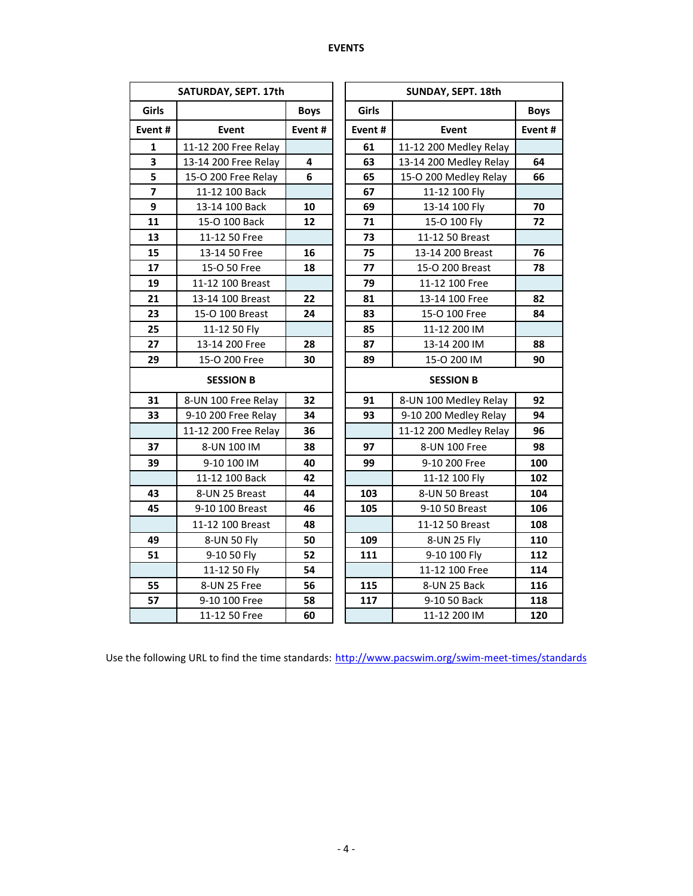|                         | SATURDAY, SEPT. 17th |             |        | SUNDAY, SEPT. 18th     |             |  |  |  |  |
|-------------------------|----------------------|-------------|--------|------------------------|-------------|--|--|--|--|
| Girls                   |                      | <b>Boys</b> | Girls  |                        | <b>Boys</b> |  |  |  |  |
| Event#                  | Event                | Event#      | Event# | <b>Event</b>           | Event#      |  |  |  |  |
| 1                       | 11-12 200 Free Relay |             | 61     | 11-12 200 Medley Relay |             |  |  |  |  |
| 3                       | 13-14 200 Free Relay | 4           | 63     | 13-14 200 Medley Relay | 64          |  |  |  |  |
| 5                       | 15-O 200 Free Relay  | 6           | 65     | 15-O 200 Medley Relay  | 66          |  |  |  |  |
| $\overline{\mathbf{z}}$ | 11-12 100 Back       |             | 67     | 11-12 100 Fly          |             |  |  |  |  |
| 9                       | 13-14 100 Back       | 10          | 69     | 13-14 100 Fly          | 70          |  |  |  |  |
| 11                      | 15-O 100 Back        | 12          | 71     | 15-O 100 Fly           | 72          |  |  |  |  |
| 13                      | 11-12 50 Free        |             | 73     | 11-12 50 Breast        |             |  |  |  |  |
| 15                      | 13-14 50 Free        | 16          | 75     | 13-14 200 Breast       | 76          |  |  |  |  |
| 17                      | 15-O 50 Free         | 18          | 77     | 15-O 200 Breast        | 78          |  |  |  |  |
| 19                      | 11-12 100 Breast     |             | 79     | 11-12 100 Free         |             |  |  |  |  |
| 21                      | 13-14 100 Breast     | 22          | 81     | 13-14 100 Free         | 82          |  |  |  |  |
| 23                      | 15-O 100 Breast      | 24          | 83     | 15-O 100 Free          | 84          |  |  |  |  |
| 25                      | 11-12 50 Fly         |             | 85     | 11-12 200 IM           |             |  |  |  |  |
| 27                      | 13-14 200 Free       | 28          | 87     | 13-14 200 IM           | 88          |  |  |  |  |
| 29                      | 15-O 200 Free        | 30          | 89     | 15-O 200 IM            | 90          |  |  |  |  |
| <b>SESSION B</b>        |                      |             |        | <b>SESSION B</b>       |             |  |  |  |  |
| 31                      | 8-UN 100 Free Relay  | 32          | 91     | 8-UN 100 Medley Relay  | 92          |  |  |  |  |
| 33                      | 9-10 200 Free Relay  | 34          | 93     | 9-10 200 Medley Relay  | 94          |  |  |  |  |
|                         | 11-12 200 Free Relay | 36          |        | 11-12 200 Medley Relay | 96          |  |  |  |  |
| 37                      | 8-UN 100 IM          | 38          | 97     | 8-UN 100 Free          | 98          |  |  |  |  |
| 39                      | 9-10 100 IM          | 40          | 99     | 9-10 200 Free          | 100         |  |  |  |  |
|                         | 11-12 100 Back       | 42          |        | 11-12 100 Fly          | 102         |  |  |  |  |
| 43                      | 8-UN 25 Breast       | 44          | 103    | 8-UN 50 Breast         | 104         |  |  |  |  |
| 45                      | 9-10 100 Breast      | 46          | 105    | 9-10 50 Breast         | 106         |  |  |  |  |
|                         | 11-12 100 Breast     | 48          |        | 11-12 50 Breast        | 108         |  |  |  |  |
| 49                      | 8-UN 50 Fly          | 50          | 109    | 8-UN 25 Fly            | 110         |  |  |  |  |
| 51                      | 9-10 50 Fly          | 52          | 111    | 9-10 100 Fly           | 112         |  |  |  |  |
|                         | 11-12 50 Fly         | 54          |        | 11-12 100 Free         | 114         |  |  |  |  |
| 55                      | 8-UN 25 Free         | 56          | 115    | 8-UN 25 Back           | 116         |  |  |  |  |
| 57                      | 9-10 100 Free        | 58          | 117    | 9-10 50 Back           | 118         |  |  |  |  |
|                         | 11-12 50 Free        | 60          |        | 11-12 200 IM           | 120         |  |  |  |  |

Use the following URL to find the time standards: <http://www.pacswim.org/swim-meet-times/standards>